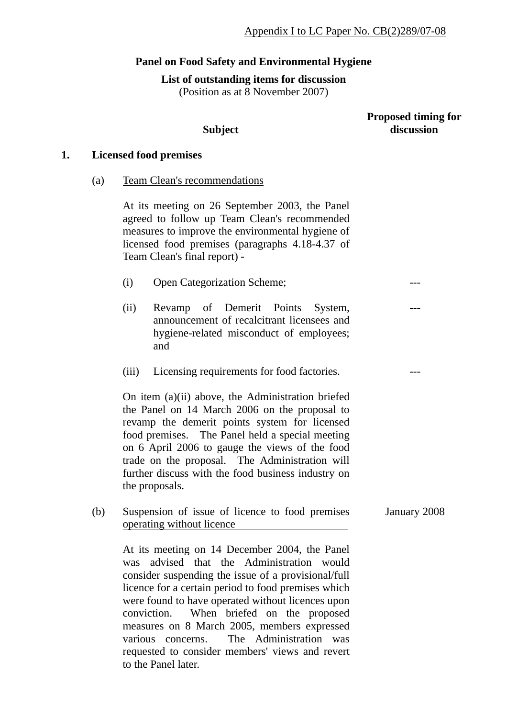# **Panel on Food Safety and Environmental Hygiene**

**List of outstanding items for discussion** 

(Position as at 8 November 2007)

### **Proposed timing for discussion**

---

---

---

# **1. Licensed food premises**

(a) Team Clean's recommendations

At its meeting on 26 September 2003, the Panel agreed to follow up Team Clean's recommended measures to improve the environmental hygiene of licensed food premises (paragraphs 4.18-4.37 of Team Clean's final report) -

**Subject** 

- (i) Open Categorization Scheme;
- (ii) Revamp of Demerit Points System, announcement of recalcitrant licensees and hygiene-related misconduct of employees; and
- (iii) Licensing requirements for food factories.

On item (a)(ii) above, the Administration briefed the Panel on 14 March 2006 on the proposal to revamp the demerit points system for licensed food premises. The Panel held a special meeting on 6 April 2006 to gauge the views of the food trade on the proposal. The Administration will further discuss with the food business industry on the proposals.

(b) Suspension of issue of licence to food premises operating without licence January 2008

At its meeting on 14 December 2004, the Panel was advised that the Administration would consider suspending the issue of a provisional/full licence for a certain period to food premises which were found to have operated without licences upon conviction. When briefed on the proposed measures on 8 March 2005, members expressed various concerns. The Administration was requested to consider members' views and revert to the Panel later.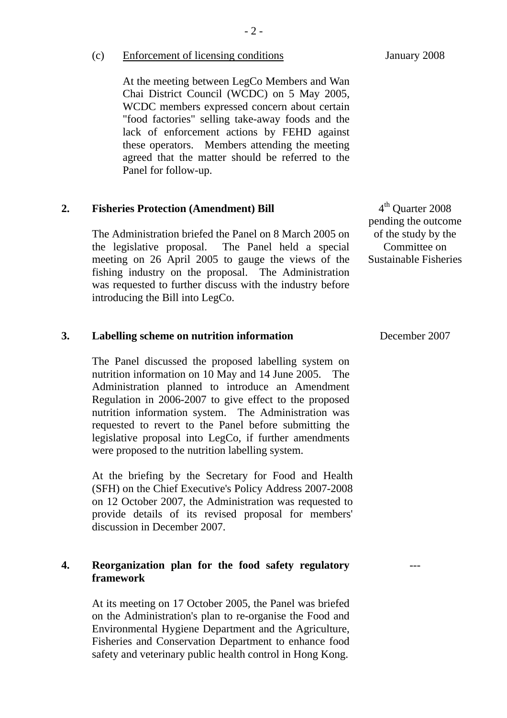(c) Enforcement of licensing conditions

At the meeting between LegCo Members and Wan Chai District Council (WCDC) on 5 May 2005, WCDC members expressed concern about certain "food factories" selling take-away foods and the lack of enforcement actions by FEHD against these operators. Members attending the meeting agreed that the matter should be referred to the Panel for follow-up.

# **2. Fisheries Protection (Amendment) Bill**

The Administration briefed the Panel on 8 March 2005 on the legislative proposal. The Panel held a special meeting on 26 April 2005 to gauge the views of the fishing industry on the proposal. The Administration was requested to further discuss with the industry before introducing the Bill into LegCo.

#### **3. Labelling scheme on nutrition information**

The Panel discussed the proposed labelling system on nutrition information on 10 May and 14 June 2005. The Administration planned to introduce an Amendment Regulation in 2006-2007 to give effect to the proposed nutrition information system. The Administration was requested to revert to the Panel before submitting the legislative proposal into LegCo, if further amendments were proposed to the nutrition labelling system.

At the briefing by the Secretary for Food and Health (SFH) on the Chief Executive's Policy Address 2007-2008 on 12 October 2007, the Administration was requested to provide details of its revised proposal for members' discussion in December 2007.

# **4. Reorganization plan for the food safety regulatory framework**

At its meeting on 17 October 2005, the Panel was briefed on the Administration's plan to re-organise the Food and Environmental Hygiene Department and the Agriculture, Fisheries and Conservation Department to enhance food safety and veterinary public health control in Hong Kong.

4<sup>th</sup> Ouarter 2008 pending the outcome of the study by the Committee on Sustainable Fisheries

December 2007

---

January 2008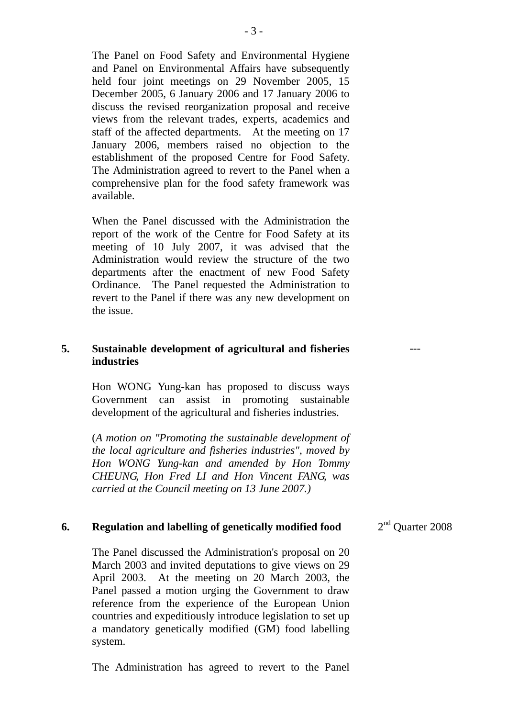The Panel on Food Safety and Environmental Hygiene and Panel on Environmental Affairs have subsequently held four joint meetings on 29 November 2005, 15 December 2005, 6 January 2006 and 17 January 2006 to discuss the revised reorganization proposal and receive views from the relevant trades, experts, academics and staff of the affected departments. At the meeting on 17 January 2006, members raised no objection to the establishment of the proposed Centre for Food Safety. The Administration agreed to revert to the Panel when a comprehensive plan for the food safety framework was available.

When the Panel discussed with the Administration the report of the work of the Centre for Food Safety at its meeting of 10 July 2007, it was advised that the Administration would review the structure of the two departments after the enactment of new Food Safety Ordinance. The Panel requested the Administration to revert to the Panel if there was any new development on the issue.

### **5. Sustainable development of agricultural and fisheries industries**

Hon WONG Yung-kan has proposed to discuss ways Government can assist in promoting sustainable development of the agricultural and fisheries industries.

(*A motion on "Promoting the sustainable development of the local agriculture and fisheries industries", moved by Hon WONG Yung-kan and amended by Hon Tommy CHEUNG, Hon Fred LI and Hon Vincent FANG, was carried at the Council meeting on 13 June 2007.)* 

### **6. Regulation and labelling of genetically modified food**

The Panel discussed the Administration's proposal on 20 March 2003 and invited deputations to give views on 29 April 2003. At the meeting on 20 March 2003, the Panel passed a motion urging the Government to draw reference from the experience of the European Union countries and expeditiously introduce legislation to set up a mandatory genetically modified (GM) food labelling system.

The Administration has agreed to revert to the Panel

2<sup>nd</sup> Ouarter 2008

---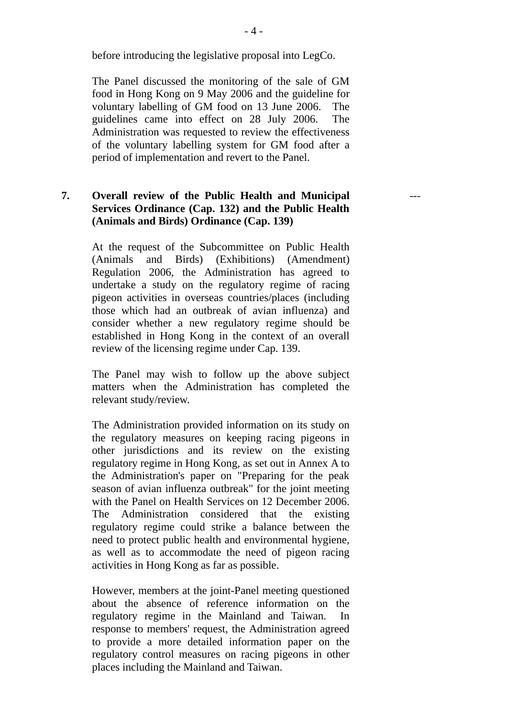before introducing the legislative proposal into LegCo.

The Panel discussed the monitoring of the sale of GM food in Hong Kong on 9 May 2006 and the guideline for voluntary labelling of GM food on 13 June 2006. The guidelines came into effect on 28 July 2006. The Administration was requested to review the effectiveness of the voluntary labelling system for GM food after a period of implementation and revert to the Panel.

# **7. Overall review of the Public Health and Municipal Services Ordinance (Cap. 132) and the Public Health (Animals and Birds) Ordinance (Cap. 139)**

At the request of the Subcommittee on Public Health (Animals and Birds) (Exhibitions) (Amendment) Regulation 2006, the Administration has agreed to undertake a study on the regulatory regime of racing pigeon activities in overseas countries/places (including those which had an outbreak of avian influenza) and consider whether a new regulatory regime should be established in Hong Kong in the context of an overall review of the licensing regime under Cap. 139.

The Panel may wish to follow up the above subject matters when the Administration has completed the relevant study/review.

The Administration provided information on its study on the regulatory measures on keeping racing pigeons in other jurisdictions and its review on the existing regulatory regime in Hong Kong, as set out in Annex A to the Administration's paper on "Preparing for the peak season of avian influenza outbreak" for the joint meeting with the Panel on Health Services on 12 December 2006. The Administration considered that the existing regulatory regime could strike a balance between the need to protect public health and environmental hygiene, as well as to accommodate the need of pigeon racing activities in Hong Kong as far as possible.

However, members at the joint-Panel meeting questioned about the absence of reference information on the regulatory regime in the Mainland and Taiwan. In response to members' request, the Administration agreed to provide a more detailed information paper on the regulatory control measures on racing pigeons in other places including the Mainland and Taiwan.

---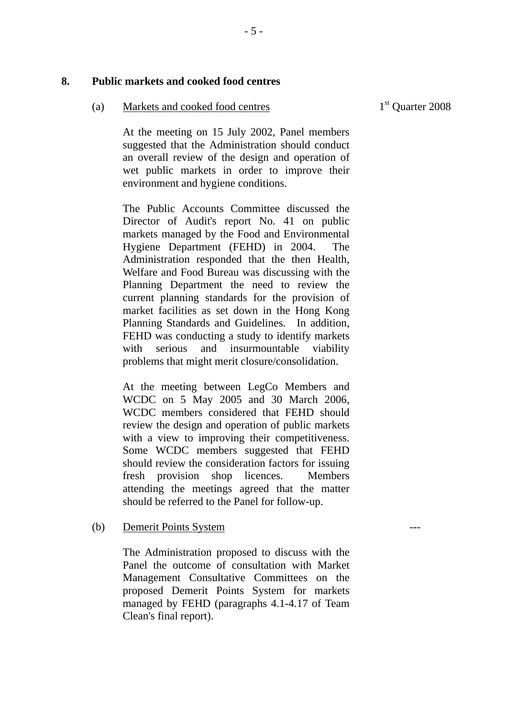### **8. Public markets and cooked food centres**

#### (a) Markets and cooked food centres

1<sup>st</sup> Ouarter 2008

---

At the meeting on 15 July 2002, Panel members suggested that the Administration should conduct an overall review of the design and operation of wet public markets in order to improve their environment and hygiene conditions.

The Public Accounts Committee discussed the Director of Audit's report No. 41 on public markets managed by the Food and Environmental Hygiene Department (FEHD) in 2004. The Administration responded that the then Health, Welfare and Food Bureau was discussing with the Planning Department the need to review the current planning standards for the provision of market facilities as set down in the Hong Kong Planning Standards and Guidelines. In addition, FEHD was conducting a study to identify markets with serious and insurmountable viability problems that might merit closure/consolidation.

At the meeting between LegCo Members and WCDC on 5 May 2005 and 30 March 2006, WCDC members considered that FEHD should review the design and operation of public markets with a view to improving their competitiveness. Some WCDC members suggested that FEHD should review the consideration factors for issuing fresh provision shop licences. Members attending the meetings agreed that the matter should be referred to the Panel for follow-up.

### (b) Demerit Points System

The Administration proposed to discuss with the Panel the outcome of consultation with Market Management Consultative Committees on the proposed Demerit Points System for markets managed by FEHD (paragraphs 4.1-4.17 of Team Clean's final report).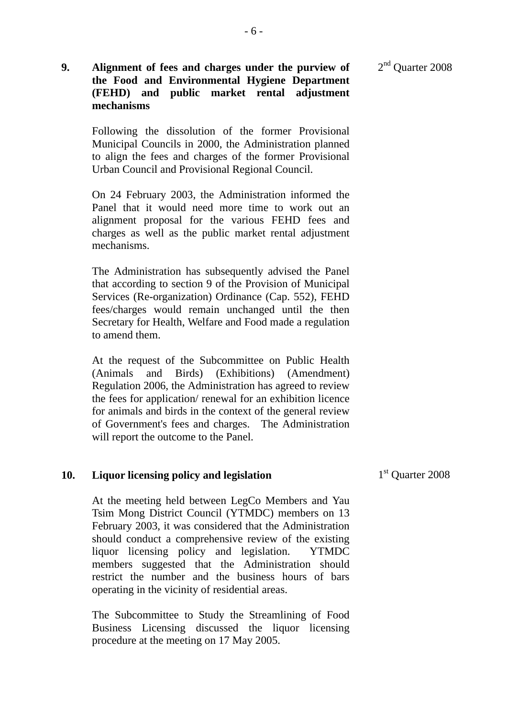2<sup>nd</sup> Quarter 2008

# **9. Alignment of fees and charges under the purview of the Food and Environmental Hygiene Department (FEHD) and public market rental adjustment mechanisms**

Following the dissolution of the former Provisional Municipal Councils in 2000, the Administration planned to align the fees and charges of the former Provisional Urban Council and Provisional Regional Council.

On 24 February 2003, the Administration informed the Panel that it would need more time to work out an alignment proposal for the various FEHD fees and charges as well as the public market rental adjustment mechanisms.

The Administration has subsequently advised the Panel that according to section 9 of the Provision of Municipal Services (Re-organization) Ordinance (Cap. 552), FEHD fees/charges would remain unchanged until the then Secretary for Health, Welfare and Food made a regulation to amend them.

At the request of the Subcommittee on Public Health (Animals and Birds) (Exhibitions) (Amendment) Regulation 2006, the Administration has agreed to review the fees for application/ renewal for an exhibition licence for animals and birds in the context of the general review of Government's fees and charges. The Administration will report the outcome to the Panel.

### **10. Liquor licensing policy and legislation**

At the meeting held between LegCo Members and Yau Tsim Mong District Council (YTMDC) members on 13 February 2003, it was considered that the Administration should conduct a comprehensive review of the existing liquor licensing policy and legislation. YTMDC members suggested that the Administration should restrict the number and the business hours of bars operating in the vicinity of residential areas.

The Subcommittee to Study the Streamlining of Food Business Licensing discussed the liquor licensing procedure at the meeting on 17 May 2005.

1<sup>st</sup> Quarter 2008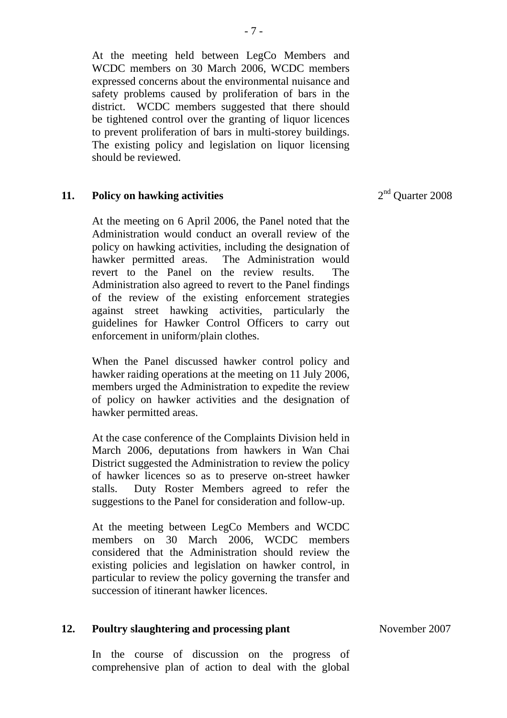At the meeting held between LegCo Members and WCDC members on 30 March 2006, WCDC members expressed concerns about the environmental nuisance and safety problems caused by proliferation of bars in the district. WCDC members suggested that there should be tightened control over the granting of liquor licences to prevent proliferation of bars in multi-storey buildings. The existing policy and legislation on liquor licensing should be reviewed.

#### **11. Policy on hawking activities**

At the meeting on 6 April 2006, the Panel noted that the Administration would conduct an overall review of the policy on hawking activities, including the designation of hawker permitted areas. The Administration would revert to the Panel on the review results. The Administration also agreed to revert to the Panel findings of the review of the existing enforcement strategies against street hawking activities, particularly the guidelines for Hawker Control Officers to carry out enforcement in uniform/plain clothes.

When the Panel discussed hawker control policy and hawker raiding operations at the meeting on 11 July 2006, members urged the Administration to expedite the review of policy on hawker activities and the designation of hawker permitted areas.

At the case conference of the Complaints Division held in March 2006, deputations from hawkers in Wan Chai District suggested the Administration to review the policy of hawker licences so as to preserve on-street hawker stalls. Duty Roster Members agreed to refer the suggestions to the Panel for consideration and follow-up.

At the meeting between LegCo Members and WCDC members on 30 March 2006, WCDC members considered that the Administration should review the existing policies and legislation on hawker control, in particular to review the policy governing the transfer and succession of itinerant hawker licences.

#### **12. Poultry slaughtering and processing plant**

In the course of discussion on the progress of comprehensive plan of action to deal with the global 2<sup>nd</sup> Ouarter 2008

November 2007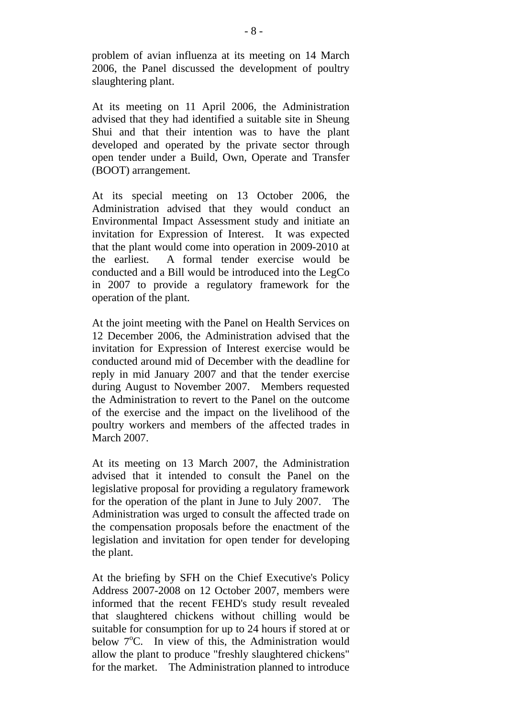problem of avian influenza at its meeting on 14 March 2006, the Panel discussed the development of poultry slaughtering plant.

At its meeting on 11 April 2006, the Administration advised that they had identified a suitable site in Sheung Shui and that their intention was to have the plant developed and operated by the private sector through open tender under a Build, Own, Operate and Transfer (BOOT) arrangement.

At its special meeting on 13 October 2006, the Administration advised that they would conduct an Environmental Impact Assessment study and initiate an invitation for Expression of Interest. It was expected that the plant would come into operation in 2009-2010 at the earliest. A formal tender exercise would be conducted and a Bill would be introduced into the LegCo in 2007 to provide a regulatory framework for the operation of the plant.

At the joint meeting with the Panel on Health Services on 12 December 2006, the Administration advised that the invitation for Expression of Interest exercise would be conducted around mid of December with the deadline for reply in mid January 2007 and that the tender exercise during August to November 2007. Members requested the Administration to revert to the Panel on the outcome of the exercise and the impact on the livelihood of the poultry workers and members of the affected trades in March 2007.

At its meeting on 13 March 2007, the Administration advised that it intended to consult the Panel on the legislative proposal for providing a regulatory framework for the operation of the plant in June to July 2007. The Administration was urged to consult the affected trade on the compensation proposals before the enactment of the legislation and invitation for open tender for developing the plant.

At the briefing by SFH on the Chief Executive's Policy Address 2007-2008 on 12 October 2007, members were informed that the recent FEHD's study result revealed that slaughtered chickens without chilling would be suitable for consumption for up to 24 hours if stored at or below  $7^{\circ}$ C. In view of this, the Administration would allow the plant to produce "freshly slaughtered chickens" for the market. The Administration planned to introduce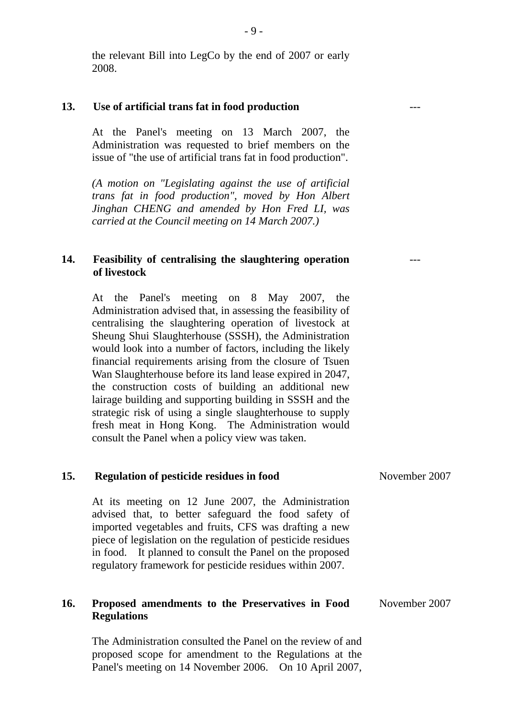the relevant Bill into LegCo by the end of 2007 or early 2008.

### **13. Use of artificial trans fat in food production**

At the Panel's meeting on 13 March 2007, the Administration was requested to brief members on the issue of "the use of artificial trans fat in food production".

*(A motion on "Legislating against the use of artificial trans fat in food production", moved by Hon Albert Jinghan CHENG and amended by Hon Fred LI, was carried at the Council meeting on 14 March 2007.)* 

# **14. Feasibility of centralising the slaughtering operation of livestock**

At the Panel's meeting on 8 May 2007, the Administration advised that, in assessing the feasibility of centralising the slaughtering operation of livestock at Sheung Shui Slaughterhouse (SSSH), the Administration would look into a number of factors, including the likely financial requirements arising from the closure of Tsuen Wan Slaughterhouse before its land lease expired in 2047, the construction costs of building an additional new lairage building and supporting building in SSSH and the strategic risk of using a single slaughterhouse to supply fresh meat in Hong Kong. The Administration would consult the Panel when a policy view was taken.

**15. Regulation of pesticide residues in food** 

| 19.        | Regulation of pesticide residues in rood                                                                                                                                                                                                                                                                                                                     | $1$ Y OV CHILIUCI $2007$ |
|------------|--------------------------------------------------------------------------------------------------------------------------------------------------------------------------------------------------------------------------------------------------------------------------------------------------------------------------------------------------------------|--------------------------|
|            | At its meeting on 12 June 2007, the Administration<br>advised that, to better safeguard the food safety of<br>imported vegetables and fruits, CFS was drafting a new<br>piece of legislation on the regulation of pesticide residues<br>in food. It planned to consult the Panel on the proposed<br>regulatory framework for pesticide residues within 2007. |                          |
| <b>16.</b> | Proposed amendments to the Preservatives in Food<br><b>Regulations</b>                                                                                                                                                                                                                                                                                       | November 2007            |
|            | The Administration consulted the Panel on the review of and<br>proposed scope for amendment to the Regulations at the                                                                                                                                                                                                                                        |                          |

Panel's meeting on 14 November 2006. On 10 April 2007,

---

---

November 2007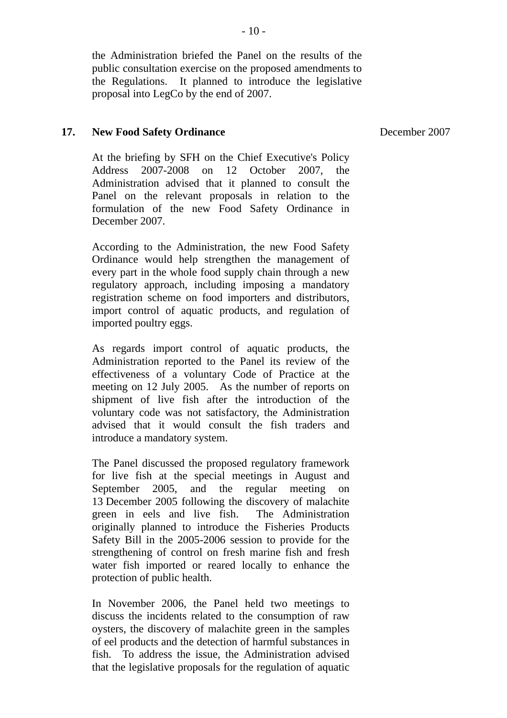the Administration briefed the Panel on the results of the public consultation exercise on the proposed amendments to the Regulations. It planned to introduce the legislative proposal into LegCo by the end of 2007.

### **17. New Food Safety Ordinance**

At the briefing by SFH on the Chief Executive's Policy Address 2007-2008 on 12 October 2007, the Administration advised that it planned to consult the Panel on the relevant proposals in relation to the formulation of the new Food Safety Ordinance in December 2007.

According to the Administration, the new Food Safety Ordinance would help strengthen the management of every part in the whole food supply chain through a new regulatory approach, including imposing a mandatory registration scheme on food importers and distributors, import control of aquatic products, and regulation of imported poultry eggs.

 As regards import control of aquatic products, the Administration reported to the Panel its review of the effectiveness of a voluntary Code of Practice at the meeting on 12 July 2005. As the number of reports on shipment of live fish after the introduction of the voluntary code was not satisfactory, the Administration advised that it would consult the fish traders and introduce a mandatory system.

The Panel discussed the proposed regulatory framework for live fish at the special meetings in August and September 2005, and the regular meeting on 13 December 2005 following the discovery of malachite green in eels and live fish. The Administration originally planned to introduce the Fisheries Products Safety Bill in the 2005-2006 session to provide for the strengthening of control on fresh marine fish and fresh water fish imported or reared locally to enhance the protection of public health.

In November 2006, the Panel held two meetings to discuss the incidents related to the consumption of raw oysters, the discovery of malachite green in the samples of eel products and the detection of harmful substances in fish. To address the issue, the Administration advised that the legislative proposals for the regulation of aquatic December 2007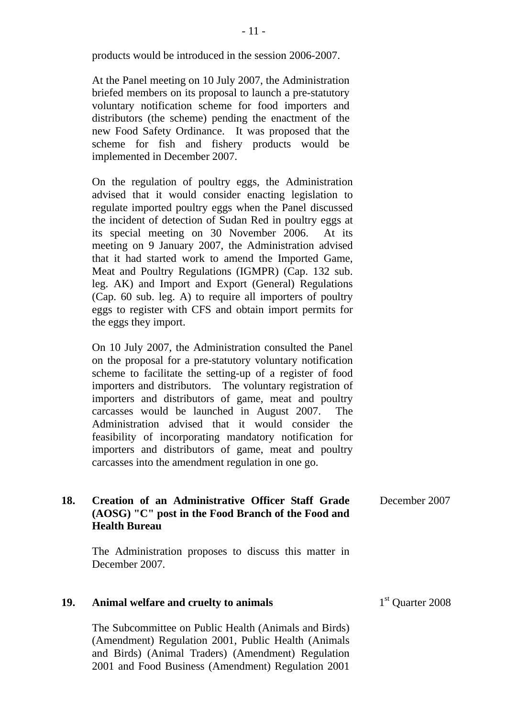products would be introduced in the session 2006-2007.

At the Panel meeting on 10 July 2007, the Administration briefed members on its proposal to launch a pre-statutory voluntary notification scheme for food importers and distributors (the scheme) pending the enactment of the new Food Safety Ordinance. It was proposed that the scheme for fish and fishery products would be implemented in December 2007.

On the regulation of poultry eggs, the Administration advised that it would consider enacting legislation to regulate imported poultry eggs when the Panel discussed the incident of detection of Sudan Red in poultry eggs at its special meeting on 30 November 2006. At its meeting on 9 January 2007, the Administration advised that it had started work to amend the Imported Game, Meat and Poultry Regulations (IGMPR) (Cap. 132 sub. leg. AK) and Import and Export (General) Regulations (Cap. 60 sub. leg. A) to require all importers of poultry eggs to register with CFS and obtain import permits for the eggs they import.

On 10 July 2007, the Administration consulted the Panel on the proposal for a pre-statutory voluntary notification scheme to facilitate the setting-up of a register of food importers and distributors. The voluntary registration of importers and distributors of game, meat and poultry carcasses would be launched in August 2007. The Administration advised that it would consider the feasibility of incorporating mandatory notification for importers and distributors of game, meat and poultry carcasses into the amendment regulation in one go.

| 18. | Creation of an Administrative Officer Staff Grade<br>(AOSG) "C" post in the Food Branch of the Food and<br><b>Health Bureau</b> | December 2007 |
|-----|---------------------------------------------------------------------------------------------------------------------------------|---------------|
|     | The Administration proposes to discuss this matter in<br>December 2007.                                                         |               |

| 19. | Animal welfare and cruelty to animals | 1 <sup>st</sup> Quarter 2008 |
|-----|---------------------------------------|------------------------------|
|     |                                       |                              |

The Subcommittee on Public Health (Animals and Birds) (Amendment) Regulation 2001, Public Health (Animals and Birds) (Animal Traders) (Amendment) Regulation 2001 and Food Business (Amendment) Regulation 2001